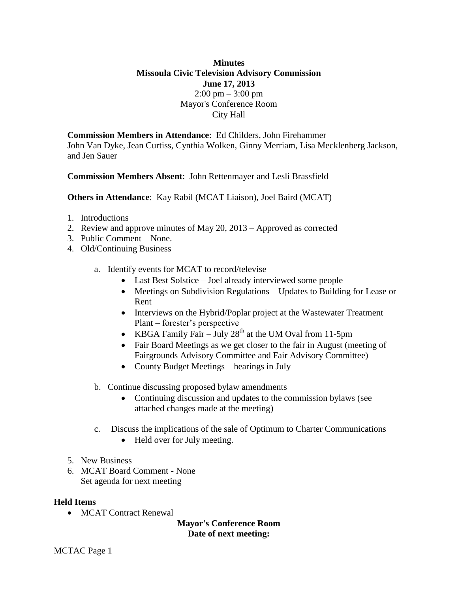# **Minutes Missoula Civic Television Advisory Commission June 17, 2013**  $2:00 \text{ pm} - 3:00 \text{ pm}$ Mayor's Conference Room City Hall

**Commission Members in Attendance**: Ed Childers, John Firehammer John Van Dyke, Jean Curtiss, Cynthia Wolken, Ginny Merriam, Lisa Mecklenberg Jackson, and Jen Sauer

# **Commission Members Absent**: John Rettenmayer and Lesli Brassfield

**Others in Attendance**: Kay Rabil (MCAT Liaison), Joel Baird (MCAT)

- 1. Introductions
- 2. Review and approve minutes of May 20, 2013 Approved as corrected
- 3. Public Comment None.
- 4. Old/Continuing Business
	- a. Identify events for MCAT to record/televise
		- Last Best Solstice Joel already interviewed some people
		- Meetings on Subdivision Regulations Updates to Building for Lease or Rent
		- Interviews on the Hybrid/Poplar project at the Wastewater Treatment Plant – forester's perspective
		- KBGA Family Fair July  $28<sup>th</sup>$  at the UM Oval from 11-5pm
		- Fair Board Meetings as we get closer to the fair in August (meeting of Fairgrounds Advisory Committee and Fair Advisory Committee)
		- County Budget Meetings hearings in July
	- b. Continue discussing proposed bylaw amendments
		- Continuing discussion and updates to the commission bylaws (see attached changes made at the meeting)
	- c. Discuss the implications of the sale of Optimum to Charter Communications
		- Held over for July meeting.
- 5. New Business
- 6. MCAT Board Comment None Set agenda for next meeting

#### **Held Items**

• MCAT Contract Renewal

**Mayor's Conference Room Date of next meeting:**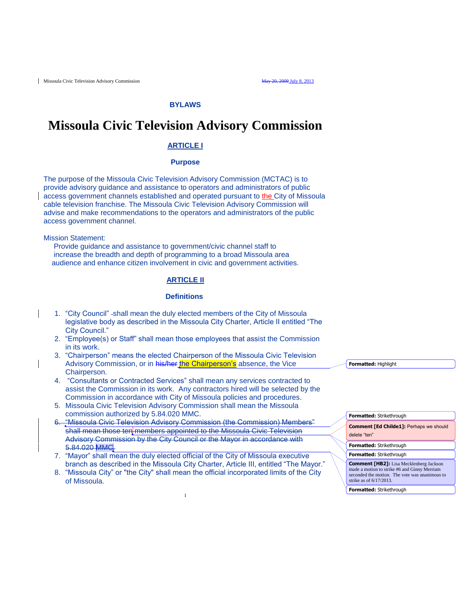#### **BYLAWS**

# **Missoula Civic Television Advisory Commission**

#### **ARTICLE I**

#### **Purpose**

The purpose of the Missoula Civic Television Advisory Commission (MCTAC) is to provide advisory guidance and assistance to operators and administrators of public access government channels established and operated pursuant to the City of Missoula cable television franchise. The Missoula Civic Television Advisory Commission will advise and make recommendations to the operators and administrators of the public access government channel.

Mission Statement:

 Provide guidance and assistance to government/civic channel staff to increase the breadth and depth of programming to a broad Missoula area audience and enhance citizen involvement in civic and government activities.

#### **ARTICLE II**

#### **Definitions**

- 1. "City Council" -shall mean the duly elected members of the City of Missoula legislative body as described in the Missoula City Charter, Article II entitled "The City Council."
- 2. "Employee(s) or Staff" shall mean those employees that assist the Commission in its work.
- 3. "Chairperson" means the elected Chairperson of the Missoula Civic Television Advisory Commission, or in his/her the Chairperson's absence, the Vice Chairperson.
- 4. "Consultants or Contracted Services" shall mean any services contracted to assist the Commission in its work. Any contractors hired will be selected by the Commission in accordance with City of Missoula policies and procedures.
- 5. Missoula Civic Television Advisory Commission shall mean the Missoula commission authorized by 5.84.020 MMC.
- 6. "Missoula Civic Television Advisory Commission (the Commission) Members" shall mean those ten members appointed to the Missoula Civic Television Advisory Commission by the City Council or the Mayor in accordance with 5.84.020 MMC.
- 7. "Mayor" shall mean the duly elected official of the City of Missoula executive branch as described in the Missoula City Charter, Article III, entitled "The Mayor."
- 8. "Missoula City" or "the City" shall mean the official incorporated limits of the City of Missoula.

1

**Formatted:** Highlight

| Formatted: Strikethrough                                                                                                                                                       |  |  |
|--------------------------------------------------------------------------------------------------------------------------------------------------------------------------------|--|--|
| <b>Comment [Ed Childe1]: Perhaps we should</b><br>delete "ten"                                                                                                                 |  |  |
| <b>Formatted: Strikethrough</b>                                                                                                                                                |  |  |
| <b>Formatted: Strikethrough</b>                                                                                                                                                |  |  |
| <b>Comment [HB2]:</b> Lisa Mecklenberg Jackson<br>made a motion to strike #6 and Ginny Merriam<br>seconded the motion. The vote was unanimous to<br>strike as of $6/17/2013$ . |  |  |
| <b>Formatted: Strikethrough</b>                                                                                                                                                |  |  |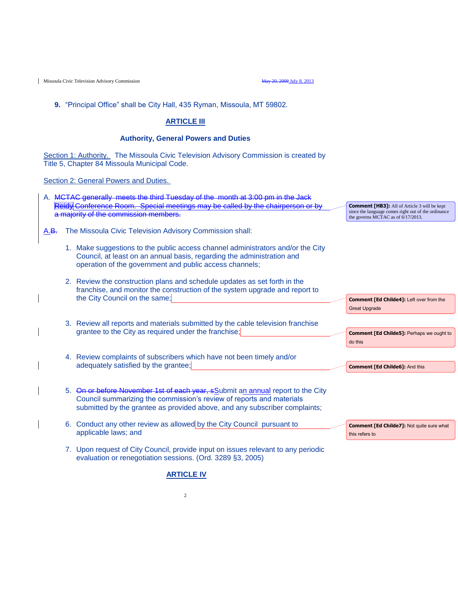**9.** "Principal Office" shall be City Hall, 435 Ryman, Missoula, MT 59802.

#### **ARTICLE III**

#### **Authority, General Powers and Duties**

Section 1: Authority. The Missoula Civic Television Advisory Commission is created by Title 5, Chapter 84 Missoula Municipal Code.

Section 2: General Powers and Duties.

| A. MCTAC generally meets the third Tuesday of the month at 3:00 pm in the Jack          |
|-----------------------------------------------------------------------------------------|
| Reidy Conference Room. Special meetings may be called by the chairperson or by          |
| a mainrity of the commission members<br><del>a majority or the commodorm members.</del> |

- A.B. The Missoula Civic Television Advisory Commission shall:
	- 1. Make suggestions to the public access channel administrators and/or the City Council, at least on an annual basis, regarding the administration and operation of the government and public access channels;
	- 2. Review the construction plans and schedule updates as set forth in the franchise, and monitor the construction of the system upgrade and report to the City Council on the same;
	- 3. Review all reports and materials submitted by the cable television franchise grantee to the City as required under the franchise;
	- 4. Review complaints of subscribers which have not been timely and/or adequately satisfied by the grantee;
	- 5. On or before November 1st of each year, sSubmit an annual report to the City Council summarizing the commission's review of reports and materials submitted by the grantee as provided above, and any subscriber complaints;
	- 6. Conduct any other review as allowed by the City Council pursuant to applicable laws; and
	- 7. Upon request of City Council, provide input on issues relevant to any periodic evaluation or renegotiation sessions. (Ord. 3289 §3, 2005)

since the language comes right out of the ordinance the governs MCTAC as of 6/17/2013.

**Comment [HB3]:** All of Article 3 will be kept

**Comment [Ed Childe4]:** Left over from the Great Upgrade

**Comment [Ed Childe5]:** Perhaps we ought to do this

**Comment [Ed Childe6]:** And this

this refers to

**Comment [Ed Childe7]:** Not quite sure what

#### **ARTICLE IV**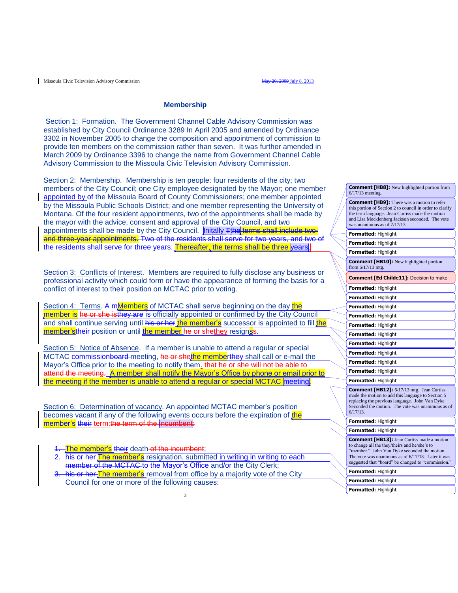#### **Membership**

Section 1: Formation. The Government Channel Cable Advisory Commission was established by City Council Ordinance 3289 In April 2005 and amended by Ordinance 3302 in November 2005 to change the composition and appointment of commission to provide ten members on the commission rather than seven. It was further amended in March 2009 by Ordinance 3396 to change the name from Government Channel Cable Advisory Commission to the Missoula Civic Television Advisory Commission.

Section 2: Membership. Membership is ten people: four residents of the city; two members of the City Council; one City employee designated by the Mayor; one member appointed by of the Missoula Board of County Commissioners; one member appointed by the Missoula Public Schools District; and one member representing the University of Montana. Of the four resident appointments, two of the appointments shall be made by the mayor with the advice, consent and approval of the City Council, and two appointments shall be made by the City Council. Initally **Tthe** terms shall include twoand three-year appointments. Two of the residents shall serve for two years, and two of the residents shall serve for three years. Thereafter, the terms shall be three years.

Section 3: Conflicts of Interest. Members are required to fully disclose any business or professional activity which could form or have the appearance of forming the basis for a conflict of interest to their position on MCTAC prior to voting.

Section 4: Terms. A mMembers of MCTAC shall serve beginning on the day the member is he or she isthey are is officially appointed or confirmed by the City Council and shall continue serving until his or her the member's successor is appointed to fill the member'stheir position or until the member he or shethey resignss.

Section 5: Notice of Absence. If a member is unable to attend a regular or special MCTAC commissionboard-meeting, he or shethe memberthey shall call or e-mail the Mayor's Office prior to the meeting to notify them. that he or she will not be able to attend the meeting. A member shall notify the Mayor's Office by phone or email prior to the meeting if the member is unable to attend a regular or special MCTAC meeting.

Section 6: Determination of vacancy. An appointed MCTAC member's position becomes vacant if any of the following events occurs before the expiration of the member's their term:the term of the incumbent:

- The member's their death of the incumbent;
- 2. his or her The member's resignation, submitted in writing in writing to each member of the MCTAC to the Mayor's Office and/or the City Clerk;
- his or her The member's removal from office by a majority vote of the City Council for one or more of the following causes:

| $6/17/13$ meeting.                                                                                                                                                                                                                                                |
|-------------------------------------------------------------------------------------------------------------------------------------------------------------------------------------------------------------------------------------------------------------------|
| <b>Comment [HB9]:</b> There was a motion to refer<br>this portion of Section 2 to council in order to clarify<br>the term language. Jean Curtiss made the motion<br>and Lisa Mecklenberg Jackson seconded. The vote<br>was unanimous as of $7/17/13$ .            |
| <b>Formatted: Highlight</b>                                                                                                                                                                                                                                       |
| <b>Formatted: Highlight</b>                                                                                                                                                                                                                                       |
| <b>Formatted: Highlight</b>                                                                                                                                                                                                                                       |
| <b>Comment [HB10]:</b> New highlighted portion<br>from $6/17/13$ mtg.                                                                                                                                                                                             |
| <b>Comment [Ed Childe11]:</b> Decision to make                                                                                                                                                                                                                    |
| Formatted: Highlight                                                                                                                                                                                                                                              |
| Formatted: Highlight                                                                                                                                                                                                                                              |
| Formatted: Highlight                                                                                                                                                                                                                                              |
| Formatted: Highlight                                                                                                                                                                                                                                              |
| Formatted: Highlight                                                                                                                                                                                                                                              |
| Formatted: Highlight                                                                                                                                                                                                                                              |
| Formatted: Highlight                                                                                                                                                                                                                                              |
| <b>Formatted: Highlight</b>                                                                                                                                                                                                                                       |
| Formatted: Highlight                                                                                                                                                                                                                                              |
| Formatted: Highlight                                                                                                                                                                                                                                              |
| <b>Formatted: Highlight</b>                                                                                                                                                                                                                                       |
| <b>Comment [HB12]:</b> 6/17/13 mtg. Jean Curtiss<br>made the motion to add this language to Section 5<br>replacing the previous language. John Van Dyke<br>Seconded the motion. The vote was unanimous as of<br>$6/17/13$ .                                       |
| <b>Formatted: Highlight</b>                                                                                                                                                                                                                                       |
| <b>Formatted: Highlight</b>                                                                                                                                                                                                                                       |
| <b>Comment [HB13]:</b> Jean Curtiss made a motion<br>to change all the they/theirs and he/she's to<br>"member." John Van Dyke seconded the motion.<br>The vote was unanimous as of $6/17/13$ . Later it was<br>suggested that "board" be changed to "commission." |
| <b>Formatted: Highlight</b>                                                                                                                                                                                                                                       |
| Formatted: Highlight                                                                                                                                                                                                                                              |

**Formatted:** Highlight

**Comment [HB8]:** New highlighted portion from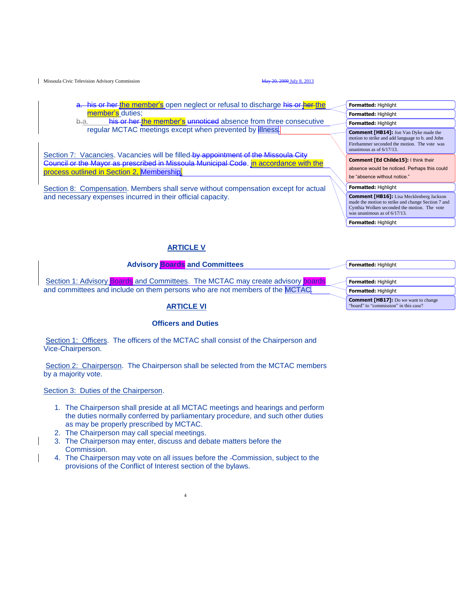his or her the member's open neglect or refusal to discharge his or her the member's duties;

b-a. his or her the member's unnoticed absence from three consecutive regular MCTAC meetings except when prevented by illness.

Section 7: Vacancies. Vacancies will be filled by appointment of the Missoula City Council or the Mayor as prescribed in Missoula Municipal Code. in accordance with the process outlined in Section 2, Membership.

Section 8: Compensation. Members shall serve without compensation except for actual and necessary expenses incurred in their official capacity.

# **ARTICLE V**

#### **Advisory Boards and Committees**

Section 1: Advisory Boards and Committees. The MCTAC may create advisory boards and committees and include on them persons who are not members of the MCTAC.

#### **ARTICLE VI**

#### **Officers and Duties**

Section 1: Officers. The officers of the MCTAC shall consist of the Chairperson and Vice-Chairperson.

Section 2: Chairperson. The Chairperson shall be selected from the MCTAC members by a majority vote.

Section 3: Duties of the Chairperson.

- 1. The Chairperson shall preside at all MCTAC meetings and hearings and perform the duties normally conferred by parliamentary procedure, and such other duties as may be properly prescribed by MCTAC.
- 2. The Chairperson may call special meetings.
- 3. The Chairperson may enter, discuss and debate matters before the Commission.
- 4. The Chairperson may vote on all issues before the Commission, subject to the provisions of the Conflict of Interest section of the bylaws.

4

| <b>Formatted: Highlight</b>                                                                                                                                                              |  |  |
|------------------------------------------------------------------------------------------------------------------------------------------------------------------------------------------|--|--|
| Formatted: Highlight                                                                                                                                                                     |  |  |
| Formatted: Highlight                                                                                                                                                                     |  |  |
| <b>Comment [HB14]:</b> Jon Van Dyke made the<br>motion to strike and add language to b. and John<br>Firehammer seconded the motion. The vote was<br>unanimous as of $6/17/13$ .          |  |  |
| Comment [Ed Childe15]: I think their                                                                                                                                                     |  |  |
| absence would be noticed. Perhaps this could                                                                                                                                             |  |  |
| be "absence without notice."                                                                                                                                                             |  |  |
| <b>Formatted: Highlight</b>                                                                                                                                                              |  |  |
| <b>Comment [HB16]:</b> Lisa Mecklenberg Jackson<br>made the motion to strike and change Section 7 and<br>Cynthia Wolken seconded the motion. The vote<br>was unanimous as of $6/17/13$ . |  |  |
| Formatted: Highlight                                                                                                                                                                     |  |  |

**Formatted:** Highlight

**Formatted:** Highlight **Formatted:** Highlight **Comment [HB17]:** Do we want to change "board" to "commission" in this case?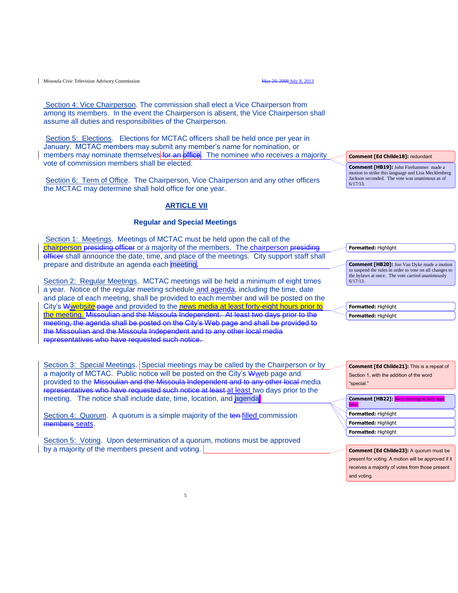Section 4: Vice Chairperson. The commission shall elect a Vice Chairperson from among its members. In the event the Chairperson is absent, the Vice Chairperson shall assume all duties and responsibilities of the Chairperson.

Section 5: Elections. Elections for MCTAC officers shall be held once per year in January. MCTAC members may submit any member's name for nomination, or members may nominate themselves for an office. The nominee who receives a majority vote of commission members shall be elected.

Section 6: Term of Office. The Chairperson, Vice Chairperson and any other officers the MCTAC may determine shall hold office for one year.

#### **ARTICLE VII**

#### **Regular and Special Meetings**

Section 1: Meetings. Meetings of MCTAC must be held upon the call of the chairperson presiding officer or a majority of the members. The chairperson presiding officer shall announce the date, time, and place of the meetings. City support staff shall prepare and distribute an agenda each meeting.

Section 2: Regular Meetings. MCTAC meetings will be held a minimum of eight times a year. Notice of the regular meeting schedule and agenda, including the time, date and place of each meeting, shall be provided to each member and will be posted on the City's Wwebsite-page and provided to the news media at least forty-eight hours prior to the meeting. Missoulian and the Missoula Independent. At least two days prior to the meeting, the agenda shall be posted on the City's Web page and shall be provided to the Missoulian and the Missoula Independent and to any other local media representatives who have requested such notice.

Section 3: Special Meetings. Special meetings may be called by the Chairperson or by a majority of MCTAC. Public notice will be posted on the City's Wweb page and provided to the Missoulian and the Missoula Independent and to any other local media representatives who have requested such notice at least at least two days prior to the meeting. The notice shall include date, time, location, and agenda.

Section 4: Quorum. A quorum is a simple majority of the ten-filled commission members seats.

Section 5: Voting. Upon determination of a quorum, motions must be approved by a majority of the members present and voting.

**Comment [Ed Childe18]:** redundant

**Comment [HB19]:** John Firehammer made a motion to strike this language and Lisa Mecklenberg Jackson seconded. The vote was unanimous as of 6/17/13.

**Formatted:** Highlight

**Comment [HB20]:** Jon Van Dyke made a motion to suspend the rules in order to vote on all changes to the bylaws at once. The vote carried unanimously 6/17/13.

**Formatted:** Highlight **Formatted:** Highlight

**Comment [Ed Childe21]:** This is a repeat of Section 1, with the addition of the word "special."

**Formatted:** Highlight **Comment [HB22]:** Next meeting in July start here. **Formatted:** Highlight **Formatted:** Highlight

**Comment [Ed Childe23]:** A quorum must be present for voting. A motion will be approved if it receives a majority of votes from those present and voting.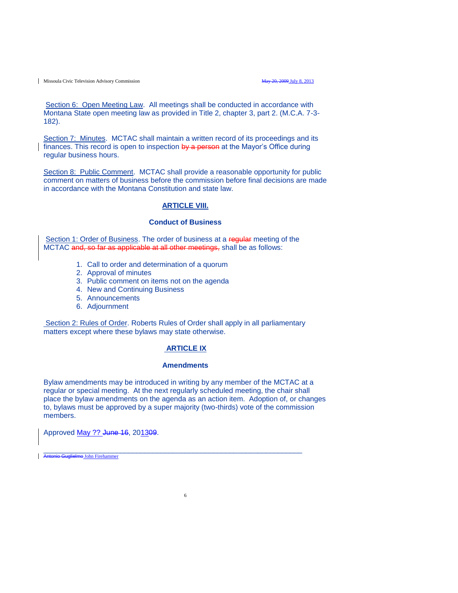Section 6: Open Meeting Law. All meetings shall be conducted in accordance with Montana State open meeting law as provided in Title 2, chapter 3, part 2. (M.C.A. 7-3- 182).

Section 7: Minutes. MCTAC shall maintain a written record of its proceedings and its finances. This record is open to inspection  $b\ddot{v}$  a person at the Mayor's Office during regular business hours.

Section 8: Public Comment. MCTAC shall provide a reasonable opportunity for public comment on matters of business before the commission before final decisions are made in accordance with the Montana Constitution and state law.

#### **ARTICLE VIII.**

#### **Conduct of Business**

Section 1: Order of Business. The order of business at a regular meeting of the MCTAC and, so far as applicable at all other meetings, shall be as follows:

- 1. Call to order and determination of a quorum
- 2. Approval of minutes
- 3. Public comment on items not on the agenda
- 4. New and Continuing Business
- 5. Announcements
- 6. Adjournment

Section 2: Rules of Order. Roberts Rules of Order shall apply in all parliamentary matters except where these bylaws may state otherwise.

#### **ARTICLE IX**

#### **Amendments**

Bylaw amendments may be introduced in writing by any member of the MCTAC at a regular or special meeting. At the next regularly scheduled meeting, the chair shall place the bylaw amendments on the agenda as an action item. Adoption of, or changes to, bylaws must be approved by a super majority (two-thirds) vote of the commission members.

6

Approved May ?? June 16, 201309.

\_\_\_\_\_\_\_\_\_\_\_\_\_\_\_\_\_\_\_\_\_\_\_\_\_\_\_\_\_\_\_\_\_\_\_\_\_\_\_\_\_\_\_\_\_\_\_\_\_\_\_\_\_\_\_\_\_\_\_\_\_\_\_\_ Antonio Guglielmo John Firehammer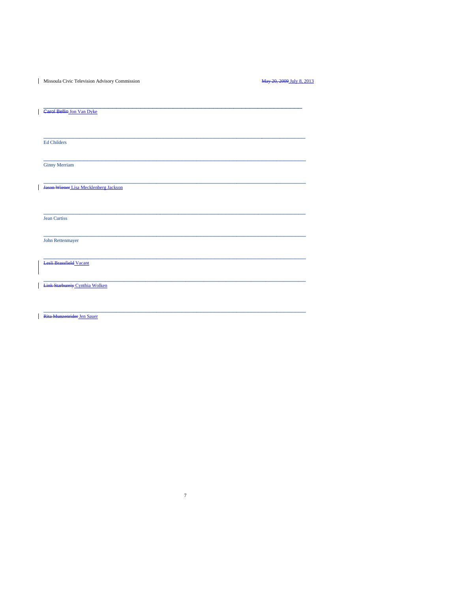Missoula Civic Television Advisory Commission

May 20, 2009 July 8, 2013

| <b>Garol Bellin Jon Van Dyke</b>      |
|---------------------------------------|
|                                       |
|                                       |
|                                       |
|                                       |
|                                       |
| <b>Ed Childers</b>                    |
|                                       |
|                                       |
|                                       |
| <b>Ginny Merriam</b>                  |
|                                       |
|                                       |
|                                       |
| Jason Wiener Lisa Mecklenberg Jackson |
|                                       |
|                                       |
|                                       |
|                                       |
| <b>Jean Curtiss</b>                   |
|                                       |
|                                       |
|                                       |
| John Rettenmayer                      |
|                                       |
|                                       |
|                                       |
| <b>Lesli Brassfield Vacant</b>        |
|                                       |
|                                       |
|                                       |
| <b>Link Starbureiy Cynthia Wolken</b> |
|                                       |
|                                       |
|                                       |
|                                       |
|                                       |

 $\overline{7}$ 

Rita Munzenrider Jen Sauer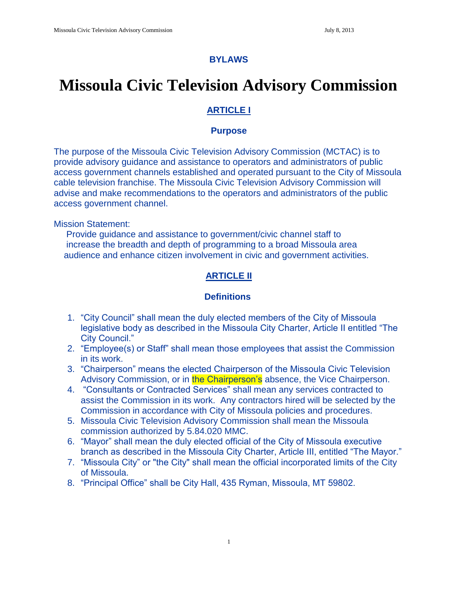## **BYLAWS**

# **Missoula Civic Television Advisory Commission**

# **ARTICLE I**

# **Purpose**

The purpose of the Missoula Civic Television Advisory Commission (MCTAC) is to provide advisory guidance and assistance to operators and administrators of public access government channels established and operated pursuant to the City of Missoula cable television franchise. The Missoula Civic Television Advisory Commission will advise and make recommendations to the operators and administrators of the public access government channel.

Mission Statement:

 Provide guidance and assistance to government/civic channel staff to increase the breadth and depth of programming to a broad Missoula area audience and enhance citizen involvement in civic and government activities.

# **ARTICLE II**

# **Definitions**

- 1. "City Council" shall mean the duly elected members of the City of Missoula legislative body as described in the Missoula City Charter, Article II entitled "The City Council."
- 2. "Employee(s) or Staff" shall mean those employees that assist the Commission in its work.
- 3. "Chairperson" means the elected Chairperson of the Missoula Civic Television Advisory Commission, or in the Chairperson's absence, the Vice Chairperson.
- 4. "Consultants or Contracted Services" shall mean any services contracted to assist the Commission in its work. Any contractors hired will be selected by the Commission in accordance with City of Missoula policies and procedures.
- 5. Missoula Civic Television Advisory Commission shall mean the Missoula commission authorized by 5.84.020 MMC.
- 6. "Mayor" shall mean the duly elected official of the City of Missoula executive branch as described in the Missoula City Charter, Article III, entitled "The Mayor."
- 7. "Missoula City" or "the City" shall mean the official incorporated limits of the City of Missoula.
- 8. "Principal Office" shall be City Hall, 435 Ryman, Missoula, MT 59802.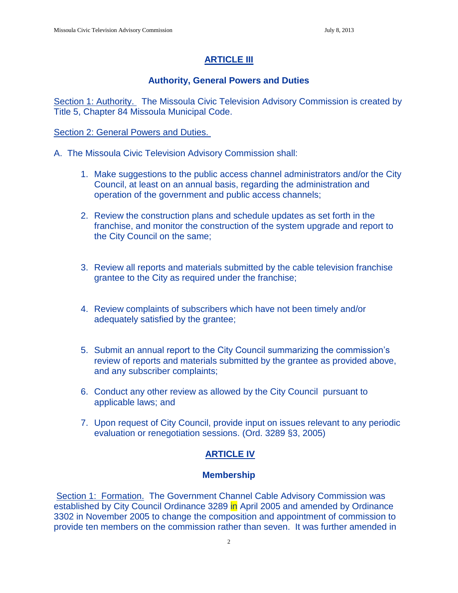# **ARTICLE III**

# **Authority, General Powers and Duties**

Section 1: Authority. The Missoula Civic Television Advisory Commission is created by Title 5, Chapter 84 Missoula Municipal Code.

### Section 2: General Powers and Duties.

- A. The Missoula Civic Television Advisory Commission shall:
	- 1. Make suggestions to the public access channel administrators and/or the City Council, at least on an annual basis, regarding the administration and operation of the government and public access channels;
	- 2. Review the construction plans and schedule updates as set forth in the franchise, and monitor the construction of the system upgrade and report to the City Council on the same;
	- 3. Review all reports and materials submitted by the cable television franchise grantee to the City as required under the franchise;
	- 4. Review complaints of subscribers which have not been timely and/or adequately satisfied by the grantee;
	- 5. Submit an annual report to the City Council summarizing the commission's review of reports and materials submitted by the grantee as provided above, and any subscriber complaints;
	- 6. Conduct any other review as allowed by the City Council pursuant to applicable laws; and
	- 7. Upon request of City Council, provide input on issues relevant to any periodic evaluation or renegotiation sessions. (Ord. 3289 §3, 2005)

# **ARTICLE IV**

#### **Membership**

Section 1: Formation. The Government Channel Cable Advisory Commission was established by City Council Ordinance 3289 in April 2005 and amended by Ordinance 3302 in November 2005 to change the composition and appointment of commission to provide ten members on the commission rather than seven. It was further amended in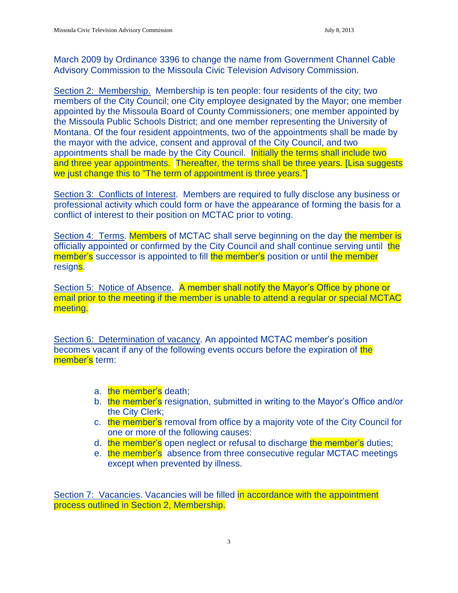March 2009 by Ordinance 3396 to change the name from Government Channel Cable Advisory Commission to the Missoula Civic Television Advisory Commission.

Section 2: Membership. Membership is ten people: four residents of the city; two members of the City Council; one City employee designated by the Mayor; one member appointed by the Missoula Board of County Commissioners; one member appointed by the Missoula Public Schools District; and one member representing the University of Montana. Of the four resident appointments, two of the appointments shall be made by the mayor with the advice, consent and approval of the City Council, and two appointments shall be made by the City Council. Initially the terms shall include two and three year appointments. Thereafter, the terms shall be three years. [Lisa suggests we just change this to "The term of appointment is three years."

Section 3: Conflicts of Interest. Members are required to fully disclose any business or professional activity which could form or have the appearance of forming the basis for a conflict of interest to their position on MCTAC prior to voting.

Section 4: Terms. Members of MCTAC shall serve beginning on the day the member is officially appointed or confirmed by the City Council and shall continue serving until the member's successor is appointed to fill the member's position or until the member resigns.

Section 5: Notice of Absence. A member shall notify the Mayor's Office by phone or email prior to the meeting if the member is unable to attend a regular or special MCTAC meeting.

Section 6: Determination of vacancy. An appointed MCTAC member's position becomes vacant if any of the following events occurs before the expiration of the member's term:

- a. the member's death;
- b. the member's resignation, submitted in writing to the Mayor's Office and/or the City Clerk;
- c. the member's removal from office by a majority vote of the City Council for one or more of the following causes:
- d. the member's open neglect or refusal to discharge the member's duties;
- e. the member's absence from three consecutive regular MCTAC meetings except when prevented by illness.

Section 7: Vacancies. Vacancies will be filled in accordance with the appointment process outlined in Section 2, Membership.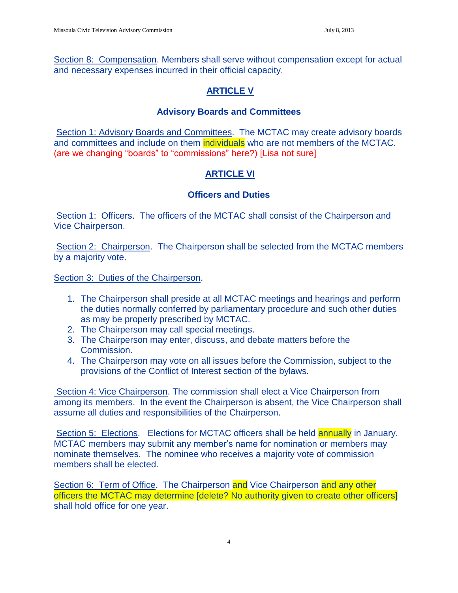Section 8: Compensation. Members shall serve without compensation except for actual and necessary expenses incurred in their official capacity.

# **ARTICLE V**

# **Advisory Boards and Committees**

Section 1: Advisory Boards and Committees. The MCTAC may create advisory boards and committees and include on them individuals who are not members of the MCTAC. (are we changing "boards" to "commissions" here?)-[Lisa not sure]

# **ARTICLE VI**

# **Officers and Duties**

Section 1: Officers. The officers of the MCTAC shall consist of the Chairperson and Vice Chairperson.

Section 2: Chairperson. The Chairperson shall be selected from the MCTAC members by a majority vote.

Section 3: Duties of the Chairperson.

- 1. The Chairperson shall preside at all MCTAC meetings and hearings and perform the duties normally conferred by parliamentary procedure and such other duties as may be properly prescribed by MCTAC.
- 2. The Chairperson may call special meetings.
- 3. The Chairperson may enter, discuss, and debate matters before the Commission.
- 4. The Chairperson may vote on all issues before the Commission, subject to the provisions of the Conflict of Interest section of the bylaws.

Section 4: Vice Chairperson. The commission shall elect a Vice Chairperson from among its members. In the event the Chairperson is absent, the Vice Chairperson shall assume all duties and responsibilities of the Chairperson.

Section 5: Elections. Elections for MCTAC officers shall be held **annually** in January. MCTAC members may submit any member's name for nomination or members may nominate themselves. The nominee who receives a majority vote of commission members shall be elected.

Section 6: Term of Office. The Chairperson and Vice Chairperson and any other officers the MCTAC may determine [delete? No authority given to create other officers] shall hold office for one year.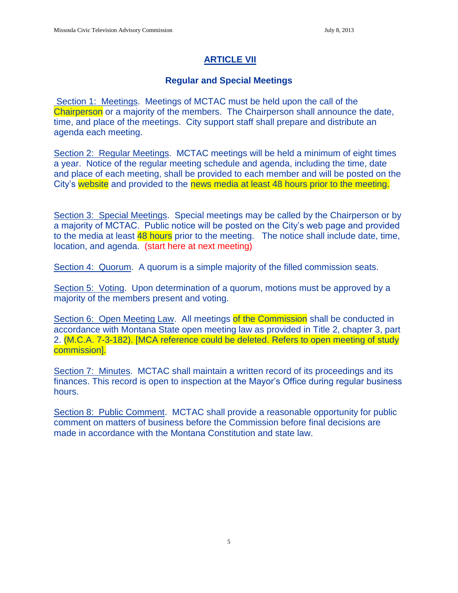# **ARTICLE VII**

# **Regular and Special Meetings**

Section 1: Meetings. Meetings of MCTAC must be held upon the call of the Chairperson or a majority of the members. The Chairperson shall announce the date, time, and place of the meetings. City support staff shall prepare and distribute an agenda each meeting.

Section 2: Regular Meetings. MCTAC meetings will be held a minimum of eight times a year. Notice of the regular meeting schedule and agenda, including the time, date and place of each meeting, shall be provided to each member and will be posted on the City's website and provided to the news media at least 48 hours prior to the meeting.

Section 3: Special Meetings. Special meetings may be called by the Chairperson or by a majority of MCTAC. Public notice will be posted on the City's web page and provided to the media at least 48 hours prior to the meeting. The notice shall include date, time, location, and agenda. (start here at next meeting)

Section 4: Quorum. A quorum is a simple majority of the filled commission seats.

Section 5: Voting. Upon determination of a quorum, motions must be approved by a majority of the members present and voting.

Section 6: Open Meeting Law. All meetings of the Commission shall be conducted in accordance with Montana State open meeting law as provided in Title 2, chapter 3, part 2. (M.C.A. 7-3-182). [MCA reference could be deleted. Refers to open meeting of study commission].

Section 7: Minutes. MCTAC shall maintain a written record of its proceedings and its finances. This record is open to inspection at the Mayor's Office during regular business hours.

Section 8: Public Comment. MCTAC shall provide a reasonable opportunity for public comment on matters of business before the Commission before final decisions are made in accordance with the Montana Constitution and state law.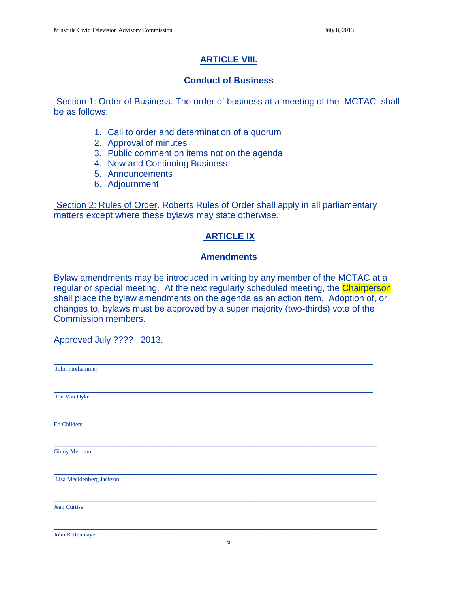# **ARTICLE VIII.**

## **Conduct of Business**

Section 1: Order of Business. The order of business at a meeting of the MCTAC shall be as follows:

- 1. Call to order and determination of a quorum
- 2. Approval of minutes
- 3. Public comment on items not on the agenda
- 4. New and Continuing Business
- 5. Announcements
- 6. Adjournment

Section 2: Rules of Order. Roberts Rules of Order shall apply in all parliamentary matters except where these bylaws may state otherwise.

# **ARTICLE IX**

## **Amendments**

Bylaw amendments may be introduced in writing by any member of the MCTAC at a regular or special meeting. At the next regularly scheduled meeting, the Chairperson shall place the bylaw amendments on the agenda as an action item. Adoption of, or changes to, bylaws must be approved by a super majority (two-thirds) vote of the Commission members.

Approved July ???? , 2013.

John Rettenmayer

\_\_\_\_\_\_\_\_\_\_\_\_\_\_\_\_\_\_\_\_\_\_\_\_\_\_\_\_\_\_\_\_\_\_\_\_\_\_\_\_\_\_\_\_\_\_\_\_\_\_\_\_\_\_\_\_\_\_\_\_\_\_\_\_ John Firehammer \_\_\_\_\_\_\_\_\_\_\_\_\_\_\_\_\_\_\_\_\_\_\_\_\_\_\_\_\_\_\_\_\_\_\_\_\_\_\_\_\_\_\_\_\_\_\_\_\_\_\_\_\_\_\_\_\_\_\_\_\_\_\_\_ Jon Van Dyke  $\_$  , and the set of the set of the set of the set of the set of the set of the set of the set of the set of the set of the set of the set of the set of the set of the set of the set of the set of the set of the set of th Ed Childers \_\_\_\_\_\_\_\_\_\_\_\_\_\_\_\_\_\_\_\_\_\_\_\_\_\_\_\_\_\_\_\_\_\_\_\_\_\_\_\_\_\_\_\_\_\_\_\_\_\_\_\_\_\_\_\_\_\_\_\_\_\_\_\_\_\_\_\_\_\_\_\_ Ginny Merriam \_\_\_\_\_\_\_\_\_\_\_\_\_\_\_\_\_\_\_\_\_\_\_\_\_\_\_\_\_\_\_\_\_\_\_\_\_\_\_\_\_\_\_\_\_\_\_\_\_\_\_\_\_\_\_\_\_\_\_\_\_\_\_\_\_\_\_\_\_\_\_\_ Lisa Mecklenberg Jackson \_\_\_\_\_\_\_\_\_\_\_\_\_\_\_\_\_\_\_\_\_\_\_\_\_\_\_\_\_\_\_\_\_\_\_\_\_\_\_\_\_\_\_\_\_\_\_\_\_\_\_\_\_\_\_\_\_\_\_\_\_\_\_\_\_\_\_\_\_\_\_\_ Jean Curtiss \_\_\_\_\_\_\_\_\_\_\_\_\_\_\_\_\_\_\_\_\_\_\_\_\_\_\_\_\_\_\_\_\_\_\_\_\_\_\_\_\_\_\_\_\_\_\_\_\_\_\_\_\_\_\_\_\_\_\_\_\_\_\_\_\_\_\_\_\_\_\_\_